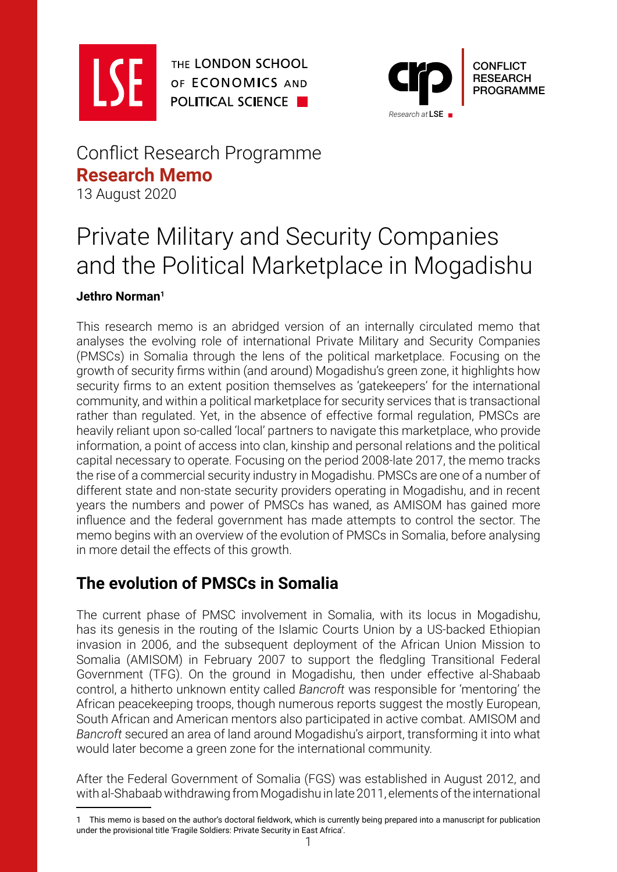

THE LONDON SCHOOL OF ECONOMICS AND **POLITICAL SCIENCE** 



## Conflict Research Programme **Research Memo** 13 August 2020

# Private Military and Security Companies and the Political Marketplace in Mogadishu

#### **Jethro Norman1**

This research memo is an abridged version of an internally circulated memo that analyses the evolving role of international Private Military and Security Companies (PMSCs) in Somalia through the lens of the political marketplace. Focusing on the growth of security firms within (and around) Mogadishu's green zone, it highlights how security firms to an extent position themselves as 'gatekeepers' for the international community, and within a political marketplace for security services that is transactional rather than regulated. Yet, in the absence of effective formal regulation, PMSCs are heavily reliant upon so-called 'local' partners to navigate this marketplace, who provide information, a point of access into clan, kinship and personal relations and the political capital necessary to operate. Focusing on the period 2008-late 2017, the memo tracks the rise of a commercial security industry in Mogadishu. PMSCs are one of a number of different state and non-state security providers operating in Mogadishu, and in recent years the numbers and power of PMSCs has waned, as AMISOM has gained more influence and the federal government has made attempts to control the sector. The memo begins with an overview of the evolution of PMSCs in Somalia, before analysing in more detail the effects of this growth.

## **The evolution of PMSCs in Somalia**

The current phase of PMSC involvement in Somalia, with its locus in Mogadishu, has its genesis in the routing of the Islamic Courts Union by a US-backed Ethiopian invasion in 2006, and the subsequent deployment of the African Union Mission to Somalia (AMISOM) in February 2007 to support the fledgling Transitional Federal Government (TFG). On the ground in Mogadishu, then under effective al-Shabaab control, a hitherto unknown entity called *Bancroft* was responsible for 'mentoring' the African peacekeeping troops, though numerous reports suggest the mostly European, South African and American mentors also participated in active combat. AMISOM and *Bancroft* secured an area of land around Mogadishu's airport, transforming it into what would later become a green zone for the international community.

After the Federal Government of Somalia (FGS) was established in August 2012, and with al-Shabaab withdrawing from Mogadishu in late 2011, elements of the international

<sup>1</sup> This memo is based on the author's doctoral fieldwork, which is currently being prepared into a manuscript for publication under the provisional title 'Fragile Soldiers: Private Security in East Africa'.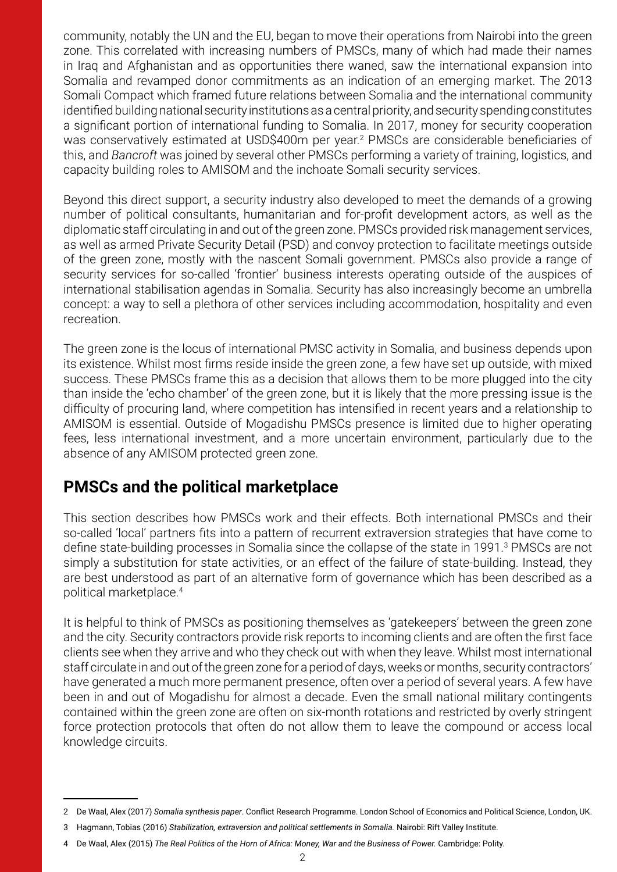community, notably the UN and the EU, began to move their operations from Nairobi into the green zone. This correlated with increasing numbers of PMSCs, many of which had made their names in Iraq and Afghanistan and as opportunities there waned, saw the international expansion into Somalia and revamped donor commitments as an indication of an emerging market. The 2013 Somali Compact which framed future relations between Somalia and the international community identified building national security institutions as a central priority, and security spending constitutes a significant portion of international funding to Somalia. In 2017, money for security cooperation was conservatively estimated at USD\$400m per year.<sup>2</sup> PMSCs are considerable beneficiaries of this, and *Bancroft* was joined by several other PMSCs performing a variety of training, logistics, and capacity building roles to AMISOM and the inchoate Somali security services.

Beyond this direct support, a security industry also developed to meet the demands of a growing number of political consultants, humanitarian and for-profit development actors, as well as the diplomatic staff circulating in and out of the green zone. PMSCs provided risk management services, as well as armed Private Security Detail (PSD) and convoy protection to facilitate meetings outside of the green zone, mostly with the nascent Somali government. PMSCs also provide a range of security services for so-called 'frontier' business interests operating outside of the auspices of international stabilisation agendas in Somalia. Security has also increasingly become an umbrella concept: a way to sell a plethora of other services including accommodation, hospitality and even recreation.

The green zone is the locus of international PMSC activity in Somalia, and business depends upon its existence. Whilst most firms reside inside the green zone, a few have set up outside, with mixed success. These PMSCs frame this as a decision that allows them to be more plugged into the city than inside the 'echo chamber' of the green zone, but it is likely that the more pressing issue is the difficulty of procuring land, where competition has intensified in recent years and a relationship to AMISOM is essential. Outside of Mogadishu PMSCs presence is limited due to higher operating fees, less international investment, and a more uncertain environment, particularly due to the absence of any AMISOM protected green zone.

## **PMSCs and the political marketplace**

This section describes how PMSCs work and their effects. Both international PMSCs and their so-called 'local' partners fits into a pattern of recurrent extraversion strategies that have come to define state-building processes in Somalia since the collapse of the state in 1991.<sup>3</sup> PMSCs are not simply a substitution for state activities, or an effect of the failure of state-building. Instead, they are best understood as part of an alternative form of governance which has been described as a political marketplace.<sup>4</sup>

It is helpful to think of PMSCs as positioning themselves as 'gatekeepers' between the green zone and the city. Security contractors provide risk reports to incoming clients and are often the first face clients see when they arrive and who they check out with when they leave. Whilst most international staff circulate in and out of the green zone for a period of days, weeks or months, security contractors' have generated a much more permanent presence, often over a period of several years. A few have been in and out of Mogadishu for almost a decade. Even the small national military contingents contained within the green zone are often on six-month rotations and restricted by overly stringent force protection protocols that often do not allow them to leave the compound or access local knowledge circuits.

<sup>2</sup> De Waal, Alex (2017) *Somalia synthesis paper*. Conflict Research Programme. London School of Economics and Political Science, London, UK.

<sup>3</sup> Hagmann, Tobias (2016) Stabilization, extraversion and political settlements in Somalia. Nairobi: Rift Valley Institute.

<sup>4</sup> De Waal, Alex (2015) *The Real Politics of the Horn of Africa: Money, War and the Business of Power.* Cambridge: Polity.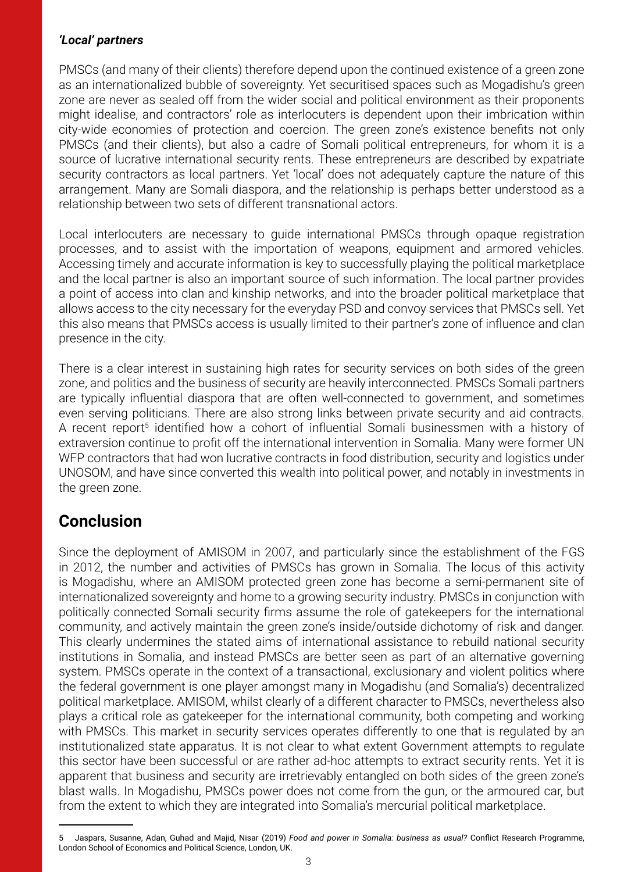#### *'Local' partners*

PMSCs (and many of their clients) therefore depend upon the continued existence of a green zone as an internationalized bubble of sovereignty. Yet securitised spaces such as Mogadishu's green zone are never as sealed off from the wider social and political environment as their proponents might idealise, and contractors' role as interlocuters is dependent upon their imbrication within city-wide economies of protection and coercion. The green zone's existence benefits not only PMSCs (and their clients), but also a cadre of Somali political entrepreneurs, for whom it is a source of lucrative international security rents. These entrepreneurs are described by expatriate security contractors as local partners. Yet 'local' does not adequately capture the nature of this arrangement. Many are Somali diaspora, and the relationship is perhaps better understood as a relationship between two sets of different transnational actors.

Local interlocuters are necessary to guide international PMSCs through opaque registration processes, and to assist with the importation of weapons, equipment and armored vehicles. Accessing timely and accurate information is key to successfully playing the political marketplace and the local partner is also an important source of such information. The local partner provides a point of access into clan and kinship networks, and into the broader political marketplace that allows access to the city necessary for the everyday PSD and convoy services that PMSCs sell. Yet this also means that PMSCs access is usually limited to their partner's zone of influence and clan presence in the city.

There is a clear interest in sustaining high rates for security services on both sides of the green zone, and politics and the business of security are heavily interconnected. PMSCs Somali partners are typically influential diaspora that are often well-connected to government, and sometimes even serving politicians. There are also strong links between private security and aid contracts. A recent report<sup>5</sup> identified how a cohort of influential Somali businessmen with a history of extraversion continue to profit off the international intervention in Somalia. Many were former UN WFP contractors that had won lucrative contracts in food distribution, security and logistics under UNOSOM, and have since converted this wealth into political power, and notably in investments in the green zone.

## **Conclusion**

Since the deployment of AMISOM in 2007, and particularly since the establishment of the FGS in 2012, the number and activities of PMSCs has grown in Somalia. The locus of this activity is Mogadishu, where an AMISOM protected green zone has become a semi-permanent site of internationalized sovereignty and home to a growing security industry. PMSCs in conjunction with politically connected Somali security firms assume the role of gatekeepers for the international community, and actively maintain the green zone's inside/outside dichotomy of risk and danger. This clearly undermines the stated aims of international assistance to rebuild national security institutions in Somalia, and instead PMSCs are better seen as part of an alternative governing system. PMSCs operate in the context of a transactional, exclusionary and violent politics where the federal government is one player amongst many in Mogadishu (and Somalia's) decentralized political marketplace. AMISOM, whilst clearly of a different character to PMSCs, nevertheless also plays a critical role as gatekeeper for the international community, both competing and working with PMSCs. This market in security services operates differently to one that is regulated by an institutionalized state apparatus. It is not clear to what extent Government attempts to regulate this sector have been successful or are rather ad-hoc attempts to extract security rents. Yet it is apparent that business and security are irretrievably entangled on both sides of the green zone's blast walls. In Mogadishu, PMSCs power does not come from the gun, or the armoured car, but from the extent to which they are integrated into Somalia's mercurial political marketplace.

<sup>5</sup> Jaspars, Susanne, Adan, Guhad and Majid, Nisar (2019) *Food and power in Somalia: business as usual?* Conflict Research Programme, London School of Economics and Political Science, London, UK.